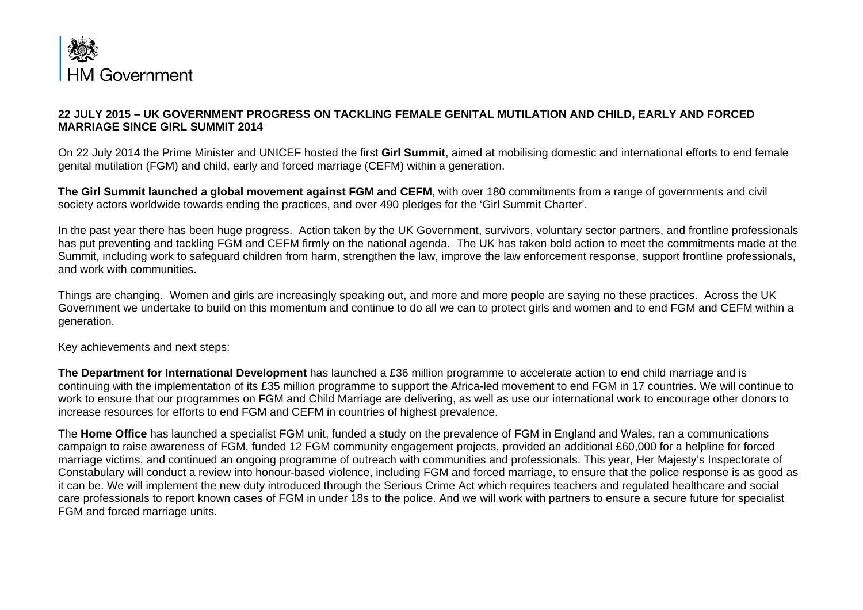

## **22 JULY 2015 – UK GOVERNMENT PROGRESS ON TACKLING FEMALE GENITAL MUTILATION AND CHILD, EARLY AND FORCED MARRIAGE SINCE GIRL SUMMIT 2014**

On 22 July 2014 the Prime Minister and UNICEF hosted the first **Girl Summit**, aimed at mobilising domestic and international efforts to end female genital mutilation (FGM) and child, early and forced marriage (CEFM) within a generation.

**The Girl Summit launched a global movement against FGM and CEFM,** with over 180 commitments from a range of governments and civil society actors worldwide towards ending the practices, and over 490 pledges for the 'Girl Summit Charter'.

In the past year there has been huge progress. Action taken by the UK Government, survivors, voluntary sector partners, and frontline professionals has put preventing and tackling FGM and CEFM firmly on the national agenda. The UK has taken bold action to meet the commitments made at the Summit, including work to safeguard children from harm, strengthen the law, improve the law enforcement response, support frontline professionals, and work with communities.

Things are changing. Women and girls are increasingly speaking out, and more and more people are saying no these practices. Across the UK Government we undertake to build on this momentum and continue to do all we can to protect girls and women and to end FGM and CEFM within a generation.

Key achievements and next steps:

**The Department for International Development** has launched a £36 million programme to accelerate action to end child marriage and is continuing with the implementation of its £35 million programme to support the Africa-led movement to end FGM in 17 countries. We will continue to work to ensure that our programmes on FGM and Child Marriage are delivering, as well as use our international work to encourage other donors to increase resources for efforts to end FGM and CEFM in countries of highest prevalence.

The **Home Office** has launched a specialist FGM unit, funded a study on the prevalence of FGM in England and Wales, ran a communications campaign to raise awareness of FGM, funded 12 FGM community engagement projects, provided an additional £60,000 for a helpline for forced marriage victims, and continued an ongoing programme of outreach with communities and professionals. This year, Her Majesty's Inspectorate of Constabulary will conduct a review into honour-based violence, including FGM and forced marriage, to ensure that the police response is as good as it can be. We will implement the new duty introduced through the Serious Crime Act which requires teachers and regulated healthcare and social care professionals to report known cases of FGM in under 18s to the police. And we will work with partners to ensure a secure future for specialist FGM and forced marriage units.